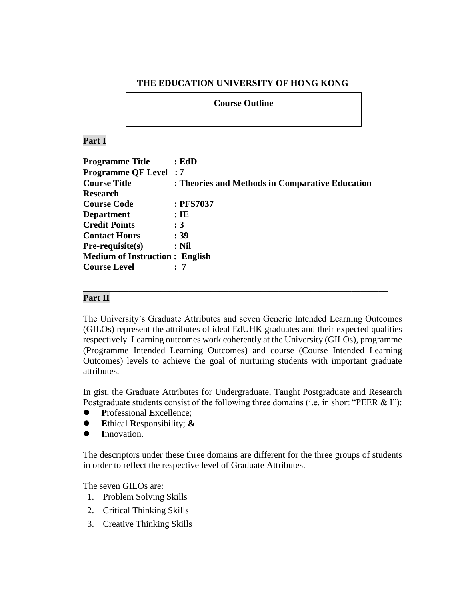### **THE EDUCATION UNIVERSITY OF HONG KONG**

### **Course Outline**

### **Part I**

| <b>Programme Title</b>                | : EdD                                           |
|---------------------------------------|-------------------------------------------------|
| <b>Programme QF Level: 7</b>          |                                                 |
| <b>Course Title</b>                   | : Theories and Methods in Comparative Education |
| <b>Research</b>                       |                                                 |
| <b>Course Code</b>                    | : PFS7037                                       |
| <b>Department</b>                     | $:$ IE                                          |
| <b>Credit Points</b>                  | : 3                                             |
| <b>Contact Hours</b>                  | : 39                                            |
| Pre-requisite(s)                      | $:$ Nil                                         |
| <b>Medium of Instruction: English</b> |                                                 |
| <b>Course Level</b>                   | : 7                                             |
|                                       |                                                 |

# **Part II**

The University's Graduate Attributes and seven Generic Intended Learning Outcomes (GILOs) represent the attributes of ideal EdUHK graduates and their expected qualities respectively. Learning outcomes work coherently at the University (GILOs), programme (Programme Intended Learning Outcomes) and course (Course Intended Learning Outcomes) levels to achieve the goal of nurturing students with important graduate attributes.

\_\_\_\_\_\_\_\_\_\_\_\_\_\_\_\_\_\_\_\_\_\_\_\_\_\_\_\_\_\_\_\_\_\_\_\_\_\_\_\_\_\_\_\_\_\_\_\_\_\_\_\_\_\_\_\_\_\_\_\_\_\_\_\_\_\_\_

In gist, the Graduate Attributes for Undergraduate, Taught Postgraduate and Research Postgraduate students consist of the following three domains (i.e. in short "PEER & I"):

- **P**rofessional **E**xcellence;
- **E**thical **R**esponsibility; **&**
- **I**nnovation.

The descriptors under these three domains are different for the three groups of students in order to reflect the respective level of Graduate Attributes.

The seven GILOs are:

- 1. Problem Solving Skills
- 2. Critical Thinking Skills
- 3. Creative Thinking Skills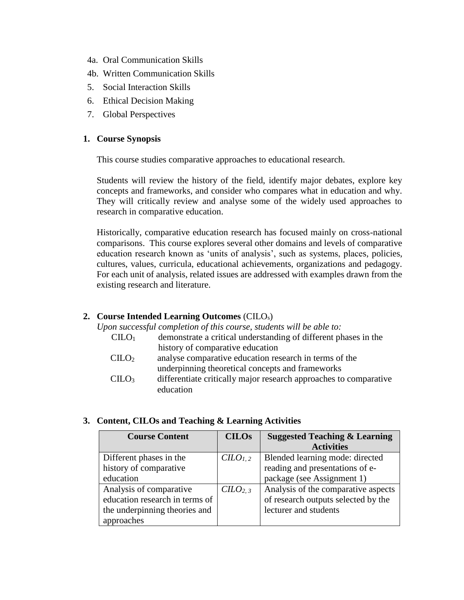- 4a. Oral Communication Skills
- 4b. Written Communication Skills
- 5. Social Interaction Skills
- 6. Ethical Decision Making
- 7. Global Perspectives

# **1. Course Synopsis**

This course studies comparative approaches to educational research.

Students will review the history of the field, identify major debates, explore key concepts and frameworks, and consider who compares what in education and why. They will critically review and analyse some of the widely used approaches to research in comparative education.

Historically, comparative education research has focused mainly on cross-national comparisons. This course explores several other domains and levels of comparative education research known as 'units of analysis', such as systems, places, policies, cultures, values, curricula, educational achievements, organizations and pedagogy. For each unit of analysis, related issues are addressed with examples drawn from the existing research and literature.

# **2. Course Intended Learning Outcomes** (CILOs)

*Upon successful completion of this course, students will be able to:*

- $C I L O<sub>1</sub>$  demonstrate a critical understanding of different phases in the history of comparative education
- CILO<sup>2</sup> analyse comparative education research in terms of the underpinning theoretical concepts and frameworks
- CILO<sup>3</sup> differentiate critically major research approaches to comparative education

# **3. Content, CILOs and Teaching & Learning Activities**

| <b>Course Content</b>          | <b>CILOs</b>                | <b>Suggested Teaching &amp; Learning</b><br><b>Activities</b> |
|--------------------------------|-----------------------------|---------------------------------------------------------------|
| Different phases in the        | C <sub>1</sub> <sub>2</sub> | Blended learning mode: directed                               |
| history of comparative         |                             | reading and presentations of e-                               |
| education                      |                             | package (see Assignment 1)                                    |
| Analysis of comparative        | C <sub>2.3</sub>            | Analysis of the comparative aspects                           |
| education research in terms of |                             | of research outputs selected by the                           |
| the underpinning theories and  |                             | lecturer and students                                         |
| approaches                     |                             |                                                               |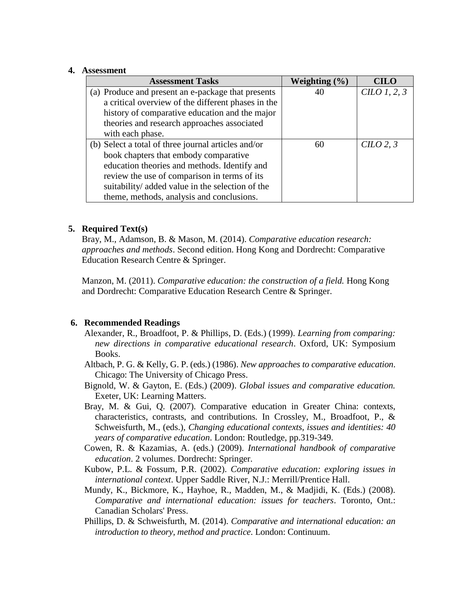#### **4. Assessment**

| <b>Assessment Tasks</b>                             | Weighting $(\% )$ | <b>CILO</b>          |
|-----------------------------------------------------|-------------------|----------------------|
| (a) Produce and present an e-package that presents  |                   | CHO1, 2, 3           |
| a critical overview of the different phases in the  |                   |                      |
| history of comparative education and the major      |                   |                      |
| theories and research approaches associated         |                   |                      |
| with each phase.                                    |                   |                      |
| (b) Select a total of three journal articles and/or | 60                | C1LO <sub>2, 3</sub> |
| book chapters that embody comparative               |                   |                      |
| education theories and methods. Identify and        |                   |                      |
| review the use of comparison in terms of its        |                   |                      |
| suitability/ added value in the selection of the    |                   |                      |
| theme, methods, analysis and conclusions.           |                   |                      |

### **5. Required Text(s)**

Bray, M., Adamson, B. & Mason, M. (2014). *Comparative education research: approaches and methods*. Second edition. Hong Kong and Dordrecht: Comparative Education Research Centre & Springer.

Manzon, M. (2011). *Comparative education: the construction of a field.* Hong Kong and Dordrecht: Comparative Education Research Centre & Springer.

#### **6. Recommended Readings**

- Alexander, R., Broadfoot, P. & Phillips, D. (Eds.) (1999). *Learning from comparing: new directions in comparative educational research*. Oxford, UK: Symposium Books.
- Altbach, P. G. & Kelly, G. P. (eds.) (1986). *New approaches to comparative education*. Chicago: The University of Chicago Press.
- Bignold, W. & Gayton, E. (Eds.) (2009). *Global issues and comparative education.* Exeter, UK: Learning Matters.
- Bray, M. & Gui, Q. (2007). Comparative education in Greater China: contexts, characteristics, contrasts, and contributions. In Crossley, M., Broadfoot, P., & Schweisfurth, M., (eds.), *Changing educational contexts, issues and identities: 40 years of comparative education*. London: Routledge, pp.319-349.
- Cowen, R. & Kazamias, A. (eds.) (2009). *International handbook of comparative education*. 2 volumes. Dordrecht: Springer.
- Kubow, P.L. & Fossum, P.R. (2002). *Comparative education: exploring issues in international context*. Upper Saddle River, N.J.: Merrill/Prentice Hall.
- Mundy, K., Bickmore, K., Hayhoe, R., Madden, M., & Madjidi, K. (Eds.) (2008). *Comparative and international education: issues for teachers*. Toronto, Ont.: Canadian Scholars' Press.
- Phillips, D. & Schweisfurth, M. (2014). *Comparative and international education: an introduction to theory, method and practice*. London: Continuum.